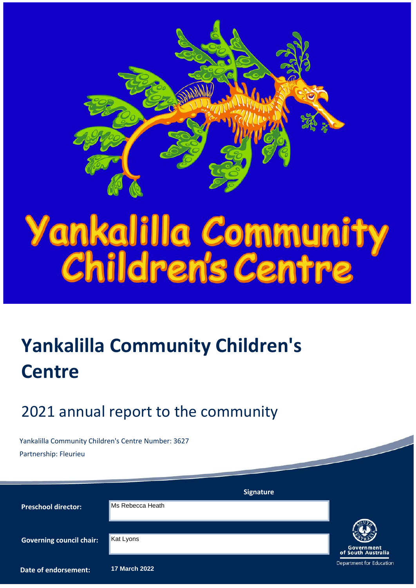

# **Yankalilla Community<br>Children's Centre**

## **Yankalilla Community Children's Centre**

## 2021 annual report to the community

Yankalilla Community Children's Centre Number: 3627 Partnership: Fleurieu

|                                 |                  | <b>Signature</b>                 |
|---------------------------------|------------------|----------------------------------|
| <b>Preschool director:</b>      | Ms Rebecca Heath |                                  |
|                                 |                  |                                  |
| <b>Governing council chair:</b> | Kat Lyons        |                                  |
|                                 |                  | Government<br>of South Australia |
| Date of endorsement:            | 17 March 2022    | Department for Education         |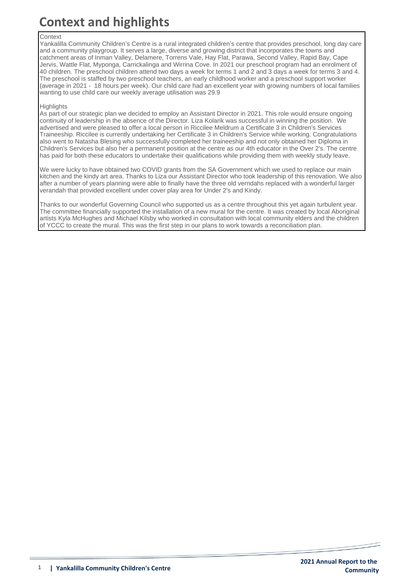### **Context and highlights**

#### **Context**

Yankalilla Community Children's Centre is a rural integrated children's centre that provides preschool, long day care and a community playgroup. It serves a large, diverse and growing district that incorporates the towns and catchment areas of Inman Valley, Delamere, Torrens Vale, Hay Flat, Parawa, Second Valley, Rapid Bay, Cape Jervis, Wattle Flat, Myponga, Carrickalinga and Wirrina Cove. In 2021 our preschool program had an enrolment of 40 children. The preschool children attend two days a week for terms 1 and 2 and 3 days a week for terms 3 and 4. The preschool is staffed by two preschool teachers, an early childhood worker and a preschool support worker (average in 2021 - 18 hours per week). Our child care had an excellent year with growing numbers of local families wanting to use child care our weekly average utilisation was 29.9

#### **Highlights**

As part of our strategic plan we decided to employ an Assistant Director in 2021. This role would ensure ongoing continuity of leadership in the absence of the Director. Liza Kolarik was successful in winning the position. We advertised and were pleased to offer a local person in Riccilee Meldrum a Certificate 3 in Children's Services Traineeship. Riccilee is currently undertaking her Certificate 3 in Children's Service while working. Congratulations also went to Natasha Blesing who successfully completed her traineeship and not only obtained her Diploma in Children's Services but also her a permanent position at the centre as our 4th educator in the Over 2's. The centre has paid for both these educators to undertake their qualifications while providing them with weekly study leave.

We were lucky to have obtained two COVID grants from the SA Government which we used to replace our main kitchen and the kindy art area. Thanks to Liza our Assistant Director who took leadership of this renovation. We also after a number of years planning were able to finally have the three old verndahs replaced with a wonderful larger verandah that provided excellent under cover play area for Under 2's and Kindy.

Thanks to our wonderful Governing Council who supported us as a centre throughout this yet again turbulent year. The committee financially supported the installation of a new mural for the centre. It was created by local Aboriginal artists Kyla McHughes and Michael Kilsby who worked in consultation with local community elders and the children of YCCC to create the mural. This was the first step in our plans to work towards a reconciliation plan.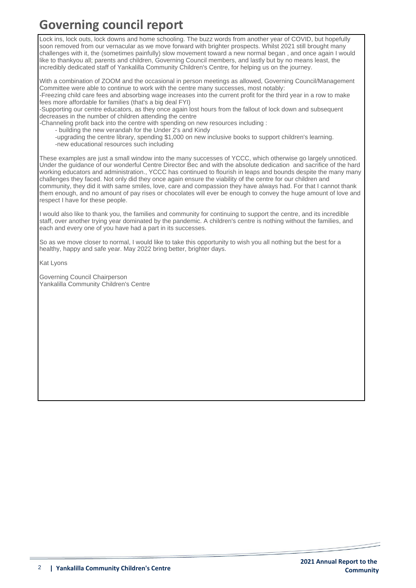### **Governing council report**

Lock ins, lock outs, lock downs and home schooling. The buzz words from another year of COVID, but hopefully soon removed from our vernacular as we move forward with brighter prospects. Whilst 2021 still brought many challenges with it, the (sometimes painfully) slow movement toward a new normal began , and once again I would like to thankyou all; parents and children, Governing Council members, and lastly but by no means least, the incredibly dedicated staff of Yankalilla Community Children's Centre, for helping us on the journey.

With a combination of ZOOM and the occasional in person meetings as allowed, Governing Council/Management Committee were able to continue to work with the centre many successes, most notably: -Freezing child care fees and absorbing wage increases into the current profit for the third year in a row to make fees more affordable for families (that's a big deal FYI)

-Supporting our centre educators, as they once again lost hours from the fallout of lock down and subsequent decreases in the number of children attending the centre

-Channeling profit back into the centre with spending on new resources including :

- building the new verandah for the Under 2's and Kindy
- -upgrading the centre library, spending \$1,000 on new inclusive books to support children's learning. -new educational resources such including

These examples are just a small window into the many successes of YCCC, which otherwise go largely unnoticed. Under the guidance of our wonderful Centre Director Bec and with the absolute dedication and sacrifice of the hard working educators and administration., YCCC has continued to flourish in leaps and bounds despite the many many challenges they faced. Not only did they once again ensure the viability of the centre for our children and community, they did it with same smiles, love, care and compassion they have always had. For that I cannot thank them enough, and no amount of pay rises or chocolates will ever be enough to convey the huge amount of love and respect I have for these people.

I would also like to thank you, the families and community for continuing to support the centre, and its incredible staff, over another trying year dominated by the pandemic. A children's centre is nothing without the families, and each and every one of you have had a part in its successes.

So as we move closer to normal, I would like to take this opportunity to wish you all nothing but the best for a healthy, happy and safe year. May 2022 bring better, brighter days.

Kat Lyons

Governing Council Chairperson Yankalilla Community Children's Centre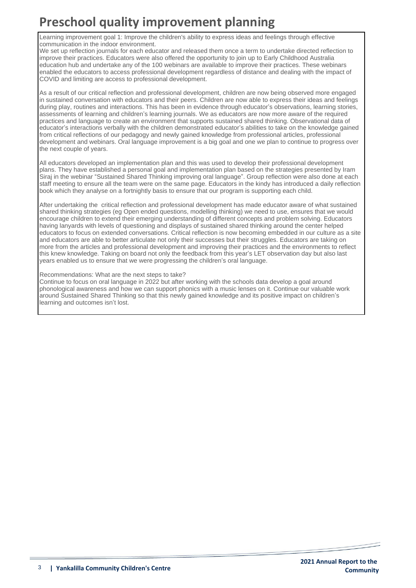#### **Preschool quality improvement planning**

Learning improvement goal 1: Improve the children's ability to express ideas and feelings through effective communication in the indoor environment.

We set up reflection journals for each educator and released them once a term to undertake directed reflection to improve their practices. Educators were also offered the opportunity to join up to Early Childhood Australia education hub and undertake any of the 100 webinars are available to improve their practices. These webinars enabled the educators to access professional development regardless of distance and dealing with the impact of COVID and limiting are access to professional development.

As a result of our critical reflection and professional development, children are now being observed more engaged in sustained conversation with educators and their peers. Children are now able to express their ideas and feelings during play, routines and interactions. This has been in evidence through educator's observations, learning stories, assessments of learning and children's learning journals. We as educators are now more aware of the required practices and language to create an environment that supports sustained shared thinking. Observational data of educator's interactions verbally with the children demonstrated educator's abilities to take on the knowledge gained from critical reflections of our pedagogy and newly gained knowledge from professional articles, professional development and webinars. Oral language improvement is a big goal and one we plan to continue to progress over the next couple of years.

All educators developed an implementation plan and this was used to develop their professional development plans. They have established a personal goal and implementation plan based on the strategies presented by Iram Siraj in the webinar "Sustained Shared Thinking improving oral language". Group reflection were also done at each staff meeting to ensure all the team were on the same page. Educators in the kindy has introduced a daily reflection book which they analyse on a fortnightly basis to ensure that our program is supporting each child.

After undertaking the critical reflection and professional development has made educator aware of what sustained shared thinking strategies (eg Open ended questions, modelling thinking) we need to use, ensures that we would encourage children to extend their emerging understanding of different concepts and problem solving. Educators having lanyards with levels of questioning and displays of sustained shared thinking around the center helped educators to focus on extended conversations. Critical reflection is now becoming embedded in our culture as a site and educators are able to better articulate not only their successes but their struggles. Educators are taking on more from the articles and professional development and improving their practices and the environments to reflect this knew knowledge. Taking on board not only the feedback from this year's LET observation day but also last years enabled us to ensure that we were progressing the children's oral language.

Recommendations: What are the next steps to take?

Continue to focus on oral language in 2022 but after working with the schools data develop a goal around phonological awareness and how we can support phonics with a music lenses on it. Continue our valuable work around Sustained Shared Thinking so that this newly gained knowledge and its positive impact on children's learning and outcomes isn't lost.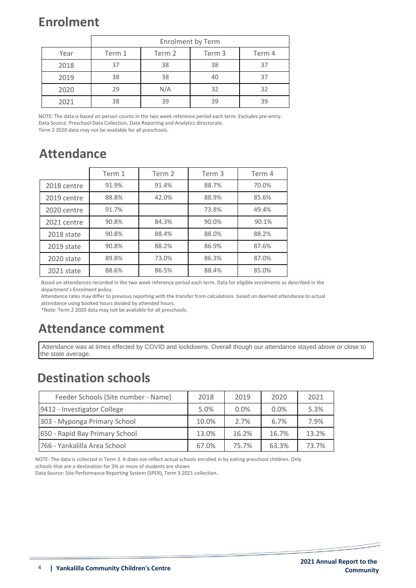#### **Enrolment**

|      | Enrolment by Term |        |        |        |
|------|-------------------|--------|--------|--------|
| Year | Term 1            | Term 2 | Term 3 | Term 4 |
| 2018 | 37                | 38     | 38     | 37     |
| 2019 | 38                | 38     | 40     | 37     |
| 2020 | 29                | N/A    | 32     | 32     |
| 2021 | 38                | 39     | 39     | 39     |

NOTE: The data is based on person counts in the two week reference period each term. Excludes pre-entry. Data Source: Preschool Data Collection, Data Reporting and Analytics directorate. Term 2 2020 data may not be available for all preschools.

#### **Attendance**

|             | Term 1 | Term 2 | Term 3 | Term 4 |
|-------------|--------|--------|--------|--------|
| 2018 centre | 91.9%  | 91.4%  | 88.7%  | 70.0%  |
| 2019 centre | 88.8%  | 42.0%  | 88.9%  | 85.6%  |
| 2020 centre | 91.7%  |        | 73.8%  | 49.4%  |
| 2021 centre | 90.8%  | 84.3%  | 90.0%  | 90.1%  |
| 2018 state  | 90.8%  | 88.4%  | 88.0%  | 88.2%  |
| 2019 state  | 90.8%  | 88.2%  | 86.9%  | 87.6%  |
| 2020 state  | 89.8%  | 73.0%  | 86.3%  | 87.0%  |
| 2021 state  | 88.6%  | 86.5%  | 88.4%  | 85.0%  |

Based on attendances recorded in the two week reference period each term. Data for eligible enrolments as described in the department's Enrolment policy.

Attendance rates may differ to previous reporting with the transfer from calculations based on deemed attendance to actual attendance using booked hours divided by attended hours.

\*Note: Term 2 2020 data may not be available for all preschools.

#### **Attendance comment**

 Attendance was at times effected by COVID and lockdowns. Overall though our attendance stayed above or close to the state average.

#### **Destination schools**

| Feeder Schools (Site number - Name) | 2018  | 2019  | 2020  | 2021  |
|-------------------------------------|-------|-------|-------|-------|
| 9412 - Investigator College         | 5.0%  | 0.0%  | 0.0%  | 5.3%  |
| 303 - Myponga Primary School        | 10.0% | 2.7%  | 6.7%  | 7.9%  |
| 650 - Rapid Bay Primary School      | 13.0% | 16.2% | 16.7% | 13.2% |
| 766 - Yankalilla Area School        | 67.0% | 75.7% | 63.3% | 73.7% |

NOTE: The data is collected in Term 3. It does not reflect actual schools enrolled in by exiting preschool children. Only

schools that are a destination for 3% or more of students are shown.

Data Source: Site Performance Reporting System (SPER), Term 3 2021 collection.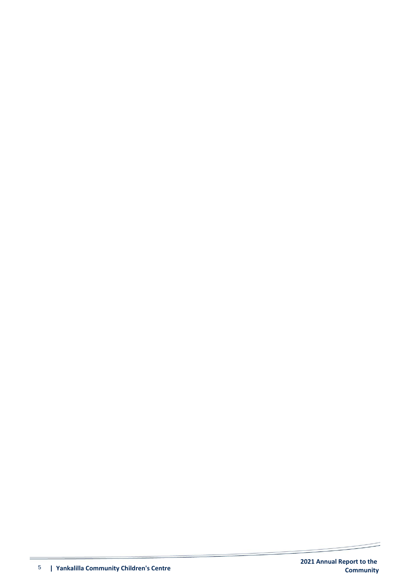$\sim$ 

 $\overline{\phantom{1}}$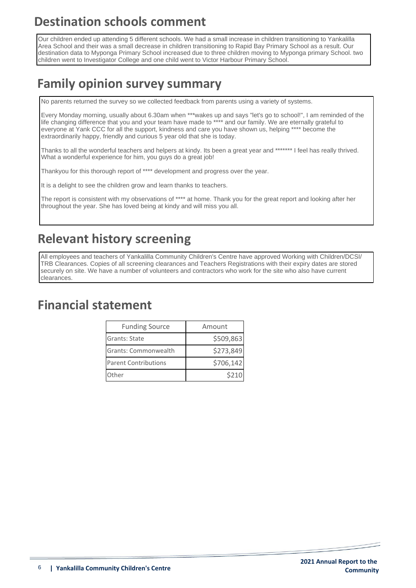#### **Destination schools comment**

Our children ended up attending 5 different schools. We had a small increase in children transitioning to Yankalilla Area School and their was a small decrease in children transitioning to Rapid Bay Primary School as a result. Our destination data to Myponga Primary School increased due to three children moving to Myponga primary School. two children went to Investigator College and one child went to Victor Harbour Primary School.

#### **Family opinion survey summary**

No parents returned the survey so we collected feedback from parents using a variety of systems.

Every Monday morning, usually about 6.30am when \*\*\*wakes up and says "let's go to school!", I am reminded of the life changing difference that you and your team have made to \*\*\*\* and our family. We are eternally grateful to everyone at Yank CCC for all the support, kindness and care you have shown us, helping \*\*\*\* become the extraordinarily happy, friendly and curious 5 year old that she is today.

Thanks to all the wonderful teachers and helpers at kindy. Its been a great year and \*\*\*\*\*\*\* I feel has really thrived. What a wonderful experience for him, you guys do a great job!

Thankyou for this thorough report of \*\*\*\* development and progress over the year.

It is a delight to see the children grow and learn thanks to teachers.

The report is consistent with my observations of \*\*\*\* at home. Thank you for the great report and looking after her throughout the year. She has loved being at kindy and will miss you all.

#### **Relevant history screening**

All employees and teachers of Yankalilla Community Children's Centre have approved Working with Children/DCSI/ TRB Clearances. Copies of all screening clearances and Teachers Registrations with their expiry dates are stored securely on site. We have a number of volunteers and contractors who work for the site who also have current clearances.

#### **Financial statement**

| <b>Funding Source</b>       | Amount    |
|-----------------------------|-----------|
| Grants: State               | \$509,863 |
| <b>Grants: Commonwealth</b> | \$273,849 |
| <b>Parent Contributions</b> | \$706,142 |
| Other                       | \$210     |